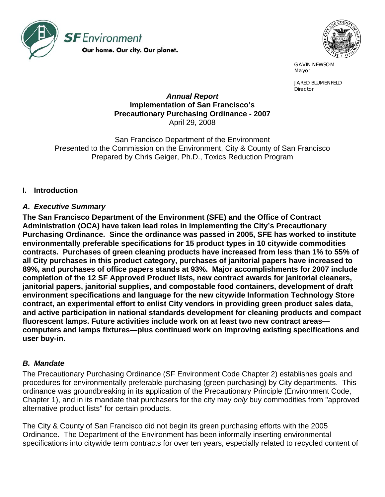



 GAVIN NEWSOM Mayor and the contract of the contract of the contract of the contract of the contract of the contract of the contract of the contract of the contract of the contract of the contract of the contract of the contract of the

> JARED BLUMENFELD Director

#### *Annual Report*  **Implementation of San Francisco's Precautionary Purchasing Ordinance - 2007**  April 29, 2008

San Francisco Department of the Environment Presented to the Commission on the Environment, City & County of San Francisco Prepared by Chris Geiger, Ph.D., Toxics Reduction Program

#### **I. Introduction**

#### *A. Executive Summary*

**The San Francisco Department of the Environment (SFE) and the Office of Contract Administration (OCA) have taken lead roles in implementing the City's Precautionary Purchasing Ordinance. Since the ordinance was passed in 2005, SFE has worked to institute environmentally preferable specifications for 15 product types in 10 citywide commodities contracts. Purchases of green cleaning products have increased from less than 1% to 55% of all City purchases in this product category, purchases of janitorial papers have increased to 89%, and purchases of office papers stands at 93%. Major accomplishments for 2007 include completion of the 12 SF Approved Product lists, new contract awards for janitorial cleaners, janitorial papers, janitorial supplies, and compostable food containers, development of draft environment specifications and language for the new citywide Information Technology Store contract, an experimental effort to enlist City vendors in providing green product sales data, and active participation in national standards development for cleaning products and compact fluorescent lamps. Future activities include work on at least two new contract areas computers and lamps fixtures—plus continued work on improving existing specifications and user buy-in.** 

## *B. Mandate*

The Precautionary Purchasing Ordinance (SF Environment Code Chapter 2) establishes goals and procedures for environmentally preferable purchasing (green purchasing) by City departments. This ordinance was groundbreaking in its application of the Precautionary Principle (Environment Code, Chapter 1), and in its mandate that purchasers for the city may *only* buy commodities from "approved alternative product lists" for certain products.

The City & County of San Francisco did not begin its green purchasing efforts with the 2005 Ordinance. The Department of the Environment has been informally inserting environmental specifications into citywide term contracts for over ten years, especially related to recycled content of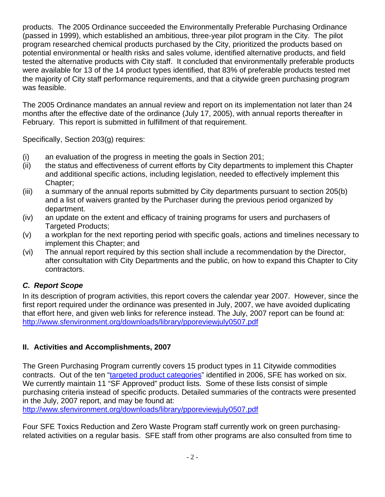products. The 2005 Ordinance succeeded the Environmentally Preferable Purchasing Ordinance (passed in 1999), which established an ambitious, three-year pilot program in the City. The pilot program researched chemical products purchased by the City, prioritized the products based on potential environmental or health risks and sales volume, identified alternative products, and field tested the alternative products with City staff. It concluded that environmentally preferable products were available for 13 of the 14 product types identified, that 83% of preferable products tested met the majority of City staff performance requirements, and that a citywide green purchasing program was feasible.

The 2005 Ordinance mandates an annual review and report on its implementation not later than 24 months after the effective date of the ordinance (July 17, 2005), with annual reports thereafter in February. This report is submitted in fulfillment of that requirement.

Specifically, Section 203(g) requires:

- (i) an evaluation of the progress in meeting the goals in Section 201;
- (ii) the status and effectiveness of current efforts by City departments to implement this Chapter and additional specific actions, including legislation, needed to effectively implement this Chapter;
- (iii) a summary of the annual reports submitted by City departments pursuant to section 205(b) and a list of waivers granted by the Purchaser during the previous period organized by department.
- (iv) an update on the extent and efficacy of training programs for users and purchasers of Targeted Products;
- (v) a workplan for the next reporting period with specific goals, actions and timelines necessary to implement this Chapter; and
- (vi) The annual report required by this section shall include a recommendation by the Director, after consultation with City Departments and the public, on how to expand this Chapter to City contractors.

#### *C. Report Scope*

In its description of program activities, this report covers the calendar year 2007. However, since the first report required under the ordinance was presented in July, 2007, we have avoided duplicating that effort here, and given web links for reference instead. The July, 2007 report can be found at: <http://www.sfenvironment.org/downloads/library/pporeviewjuly0507.pdf>

#### **II. Activities and Accomplishments, 2007**

The Green Purchasing Program currently covers 15 product types in 11 Citywide commodities contracts. Out of the ten "[targeted product categories"](http://www.sfenvironment.org/our_programs/interests.html?ssi=9&ti=22&ii=110) identified in 2006, SFE has worked on six. We currently maintain 11 "SF Approved" product lists. Some of these lists consist of simple purchasing criteria instead of specific products. Detailed summaries of the contracts were presented in the July, 2007 report, and may be found at:

<http://www.sfenvironment.org/downloads/library/pporeviewjuly0507.pdf>

Four SFE Toxics Reduction and Zero Waste Program staff currently work on green purchasingrelated activities on a regular basis. SFE staff from other programs are also consulted from time to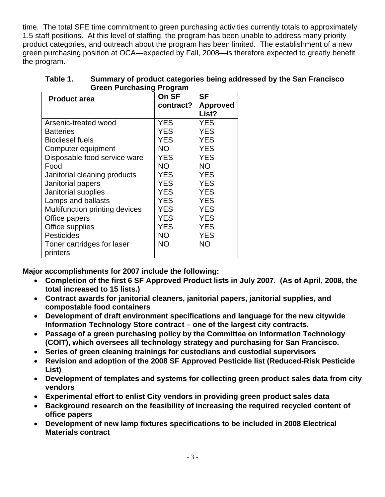time. The total SFE time commitment to green purchasing activities currently totals to approximately 1.5 staff positions. At this level of staffing, the program has been unable to address many priority product categories, and outreach about the program has been limited. The establishment of a new green purchasing position at OCA—expected by Fall, 2008—is therefore expected to greatly benefit the program.

| <b>Product area</b>            | On SF      | SF              |  |  |
|--------------------------------|------------|-----------------|--|--|
|                                | contract?  | <b>Approved</b> |  |  |
|                                |            | List?           |  |  |
| Arsenic-treated wood           | <b>YES</b> | <b>YES</b>      |  |  |
| <b>Batteries</b>               | YES        | <b>YES</b>      |  |  |
| <b>Biodiesel fuels</b>         | YES        | <b>YES</b>      |  |  |
| Computer equipment             | <b>NO</b>  | <b>YES</b>      |  |  |
| Disposable food service ware   | <b>YES</b> | <b>YES</b>      |  |  |
| Food                           | NO.        | NΟ              |  |  |
| Janitorial cleaning products   | YES        | YES             |  |  |
| Janitorial papers              | YES        | YES             |  |  |
| Janitorial supplies            | YES        | YES             |  |  |
| Lamps and ballasts             | YES        | YES             |  |  |
| Multifunction printing devices | YES        | <b>YES</b>      |  |  |
| Office papers                  | <b>YES</b> | <b>YES</b>      |  |  |
| Office supplies                | <b>YES</b> | YES             |  |  |
| <b>Pesticides</b>              | <b>NO</b>  | YES             |  |  |
| Toner cartridges for laser     | <b>NO</b>  | NΟ              |  |  |
| printers                       |            |                 |  |  |

| Table 1. | Summary of product categories being addressed by the San Francisco |
|----------|--------------------------------------------------------------------|
|          | <b>Green Purchasing Program</b>                                    |

**Major accomplishments for 2007 include the following:** 

- **Completion of the first 6 SF Approved Product lists in July 2007. (As of April, 2008, the total increased to 15 lists.)**
- **Contract awards for janitorial cleaners, janitorial papers, janitorial supplies, and compostable food containers**
- **Development of draft environment specifications and language for the new citywide Information Technology Store contract – one of the largest city contracts.**
- **Passage of a green purchasing policy by the Committee on Information Technology (COIT), which oversees all technology strategy and purchasing for San Francisco.**
- **Series of green cleaning trainings for custodians and custodial supervisors**
- **Revision and adoption of the 2008 SF Approved Pesticide list (Reduced-Risk Pesticide List)**
- **Development of templates and systems for collecting green product sales data from city vendors**
- **Experimental effort to enlist City vendors in providing green product sales data**
- **Background research on the feasibility of increasing the required recycled content of office papers**
- **Development of new lamp fixtures specifications to be included in 2008 Electrical Materials contract**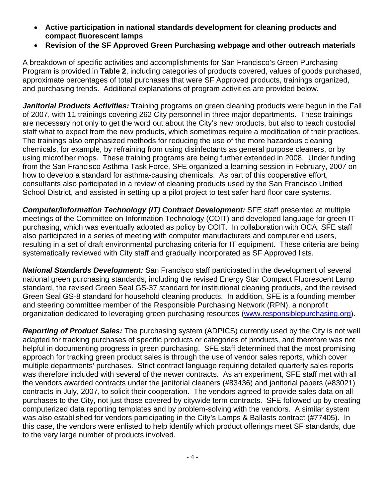- **Active participation in national standards development for cleaning products and compact fluorescent lamps**
- **Revision of the SF Approved Green Purchasing webpage and other outreach materials**

A breakdown of specific activities and accomplishments for San Francisco's Green Purchasing Program is provided in **Table 2**, including categories of products covered, values of goods purchased, approximate percentages of total purchases that were SF Approved products, trainings organized, and purchasing trends. Additional explanations of program activities are provided below.

*Janitorial Products Activities:* Training programs on green cleaning products were begun in the Fall of 2007, with 11 trainings covering 262 City personnel in three major departments. These trainings are necessary not only to get the word out about the City's new products, but also to teach custodial staff what to expect from the new products, which sometimes require a modification of their practices. The trainings also emphasized methods for reducing the use of the more hazardous cleaning chemicals, for example, by refraining from using disinfectants as general purpose cleaners, or by using microfiber mops. These training programs are being further extended in 2008. Under funding from the San Francisco Asthma Task Force, SFE organized a learning session in February, 2007 on how to develop a standard for asthma-causing chemicals. As part of this cooperative effort, consultants also participated in a review of cleaning products used by the San Francisco Unified School District, and assisted in setting up a pilot project to test safer hard floor care systems.

*Computer/Information Technology (IT) Contract Development:* SFE staff presented at multiple meetings of the Committee on Information Technology (COIT) and developed language for green IT purchasing, which was eventually adopted as policy by COIT. In collaboration with OCA, SFE staff also participated in a series of meeting with computer manufacturers and computer end users, resulting in a set of draft environmental purchasing criteria for IT equipment. These criteria are being systematically reviewed with City staff and gradually incorporated as SF Approved lists.

*National Standards Development:* San Francisco staff participated in the development of several national green purchasing standards, including the revised Energy Star Compact Fluorescent Lamp standard, the revised Green Seal GS-37 standard for institutional cleaning products, and the revised Green Seal GS-8 standard for household cleaning products. In addition, SFE is a founding member and steering committee member of the Responsible Purchasing Network (RPN), a nonprofit organization dedicated to leveraging green purchasing resources [\(www.responsiblepurchasing.org](http://www.responsiblepurchasing.org/)).

*Reporting of Product Sales:* The purchasing system (ADPICS) currently used by the City is not well adapted for tracking purchases of specific products or categories of products, and therefore was not helpful in documenting progress in green purchasing. SFE staff determined that the most promising approach for tracking green product sales is through the use of vendor sales reports, which cover multiple departments' purchases. Strict contract language requiring detailed quarterly sales reports was therefore included with several of the newer contracts. As an experiment, SFE staff met with all the vendors awarded contracts under the janitorial cleaners (#83436) and janitorial papers (#83021) contracts in July, 2007, to solicit their cooperation. The vendors agreed to provide sales data on all purchases to the City, not just those covered by citywide term contracts. SFE followed up by creating computerized data reporting templates and by problem-solving with the vendors. A similar system was also established for vendors participating in the City's Lamps & Ballasts contract (#77405). In this case, the vendors were enlisted to help identify which product offerings meet SF standards, due to the very large number of products involved.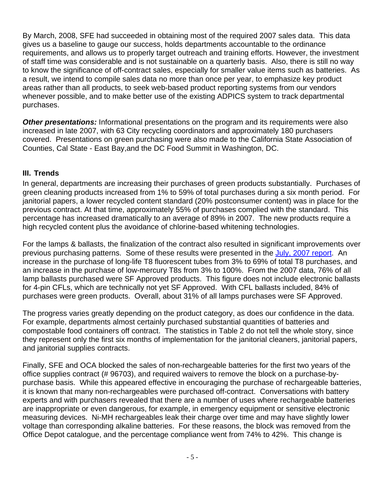By March, 2008, SFE had succeeded in obtaining most of the required 2007 sales data. This data gives us a baseline to gauge our success, holds departments accountable to the ordinance requirements, and allows us to properly target outreach and training efforts. However, the investment of staff time was considerable and is not sustainable on a quarterly basis. Also, there is still no way to know the significance of off-contract sales, especially for smaller value items such as batteries. As a result, we intend to compile sales data no more than once per year, to emphasize key product areas rather than all products, to seek web-based product reporting systems from our vendors whenever possible, and to make better use of the existing ADPICS system to track departmental purchases.

*Other presentations:* Informational presentations on the program and its requirements were also increased in late 2007, with 63 City recycling coordinators and approximately 180 purchasers covered. Presentations on green purchasing were also made to the California State Association of Counties, Cal State - East Bay,and the DC Food Summit in Washington, DC.

#### **III. Trends**

In general, departments are increasing their purchases of green products substantially. Purchases of green cleaning products increased from 1% to 59% of total purchases during a six month period. For janitorial papers, a lower recycled content standard (20% postconsumer content) was in place for the previous contract. At that time, approximately 55% of purchases complied with the standard. This percentage has increased dramatically to an average of 89% in 2007. The new products require a high recycled content plus the avoidance of chlorine-based whitening technologies.

For the lamps & ballasts, the finalization of the contract also resulted in significant improvements over previous purchasing patterns. Some of these results were presented in the [July, 2007 report.](http://www.sfenvironment.org/downloads/library/pporeviewjuly0507.pdf) An increase in the purchase of long-life T8 fluorescent tubes from 3% to 69% of total T8 purchases, and an increase in the purchase of low-mercury T8s from 3% to 100%. From the 2007 data, 76% of all lamp ballasts purchased were SF Approved products. This figure does not include electronic ballasts for 4-pin CFLs, which are technically not yet SF Approved. With CFL ballasts included, 84% of purchases were green products. Overall, about 31% of all lamps purchases were SF Approved.

The progress varies greatly depending on the product category, as does our confidence in the data. For example, departments almost certainly purchased substantial quantities of batteries and compostable food containers off contract. The statistics in Table 2 do not tell the whole story, since they represent only the first six months of implementation for the janitorial cleaners, janitorial papers, and janitorial supplies contracts.

Finally, SFE and OCA blocked the sales of non-rechargeable batteries for the first two years of the office supplies contract (# 96703), and required waivers to remove the block on a purchase-bypurchase basis. While this appeared effective in encouraging the purchase of rechargeable batteries, it is known that many non-rechargeables were purchased off-contract. Conversations with battery experts and with purchasers revealed that there are a number of uses where rechargeable batteries are inappropriate or even dangerous, for example, in emergency equipment or sensitive electronic measuring devices. Ni-MH rechargeables leak their charge over time and may have slightly lower voltage than corresponding alkaline batteries. For these reasons, the block was removed from the Office Depot catalogue, and the percentage compliance went from 74% to 42%. This change is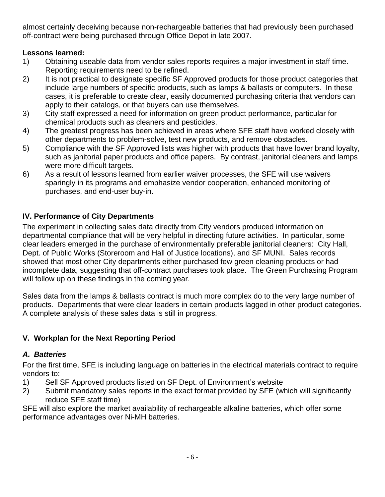almost certainly deceiving because non-rechargeable batteries that had previously been purchased off-contract were being purchased through Office Depot in late 2007.

## **Lessons learned:**

- 1) Obtaining useable data from vendor sales reports requires a major investment in staff time. Reporting requirements need to be refined.
- 2) It is not practical to designate specific SF Approved products for those product categories that include large numbers of specific products, such as lamps & ballasts or computers. In these cases, it is preferable to create clear, easily documented purchasing criteria that vendors can apply to their catalogs, or that buyers can use themselves.
- 3) City staff expressed a need for information on green product performance, particular for chemical products such as cleaners and pesticides.
- 4) The greatest progress has been achieved in areas where SFE staff have worked closely with other departments to problem-solve, test new products, and remove obstacles.
- 5) Compliance with the SF Approved lists was higher with products that have lower brand loyalty, such as janitorial paper products and office papers. By contrast, janitorial cleaners and lamps were more difficult targets.
- 6) As a result of lessons learned from earlier waiver processes, the SFE will use waivers sparingly in its programs and emphasize vendor cooperation, enhanced monitoring of purchases, and end-user buy-in.

## **IV. Performance of City Departments**

The experiment in collecting sales data directly from City vendors produced information on departmental compliance that will be very helpful in directing future activities. In particular, some clear leaders emerged in the purchase of environmentally preferable janitorial cleaners: City Hall, Dept. of Public Works (Storeroom and Hall of Justice locations), and SF MUNI. Sales records showed that most other City departments either purchased few green cleaning products or had incomplete data, suggesting that off-contract purchases took place. The Green Purchasing Program will follow up on these findings in the coming year.

Sales data from the lamps & ballasts contract is much more complex do to the very large number of products. Departments that were clear leaders in certain products lagged in other product categories. A complete analysis of these sales data is still in progress.

## **V. Workplan for the Next Reporting Period**

## *A. Batteries*

For the first time, SFE is including language on batteries in the electrical materials contract to require vendors to:

- 1) Sell SF Approved products listed on SF Dept. of Environment's website
- 2) Submit mandatory sales reports in the exact format provided by SFE (which will significantly reduce SFE staff time)

SFE will also explore the market availability of rechargeable alkaline batteries, which offer some performance advantages over Ni-MH batteries.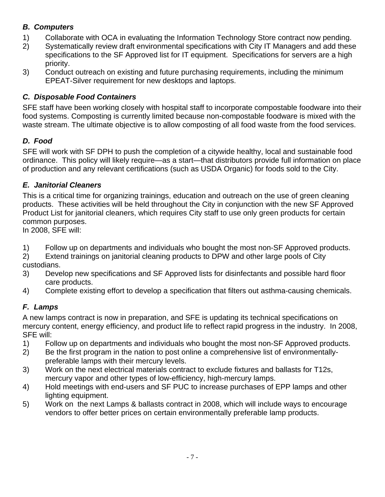# *B. Computers*

- 1) Collaborate with OCA in evaluating the Information Technology Store contract now pending.
- 2) Systematically review draft environmental specifications with City IT Managers and add these specifications to the SF Approved list for IT equipment. Specifications for servers are a high priority.
- 3) Conduct outreach on existing and future purchasing requirements, including the minimum EPEAT-Silver requirement for new desktops and laptops.

## *C. Disposable Food Containers*

SFE staff have been working closely with hospital staff to incorporate compostable foodware into their food systems. Composting is currently limited because non-compostable foodware is mixed with the waste stream. The ultimate objective is to allow composting of all food waste from the food services.

## *D. Food*

SFE will work with SF DPH to push the completion of a citywide healthy, local and sustainable food ordinance. This policy will likely require—as a start—that distributors provide full information on place of production and any relevant certifications (such as USDA Organic) for foods sold to the City.

#### *E. Janitorial Cleaners*

This is a critical time for organizing trainings, education and outreach on the use of green cleaning products. These activities will be held throughout the City in conjunction with the new SF Approved Product List for janitorial cleaners, which requires City staff to use only green products for certain common purposes.

In 2008, SFE will:

- 1) Follow up on departments and individuals who bought the most non-SF Approved products.
- 2) Extend trainings on janitorial cleaning products to DPW and other large pools of City custodians.
- 3) Develop new specifications and SF Approved lists for disinfectants and possible hard floor care products.
- 4) Complete existing effort to develop a specification that filters out asthma-causing chemicals.

## *F. Lamps*

A new lamps contract is now in preparation, and SFE is updating its technical specifications on mercury content, energy efficiency, and product life to reflect rapid progress in the industry. In 2008, SFE will:

- 1) Follow up on departments and individuals who bought the most non-SF Approved products.
- 2) Be the first program in the nation to post online a comprehensive list of environmentallypreferable lamps with their mercury levels.
- 3) Work on the next electrical materials contract to exclude fixtures and ballasts for T12s, mercury vapor and other types of low-efficiency, high-mercury lamps.
- 4) Hold meetings with end-users and SF PUC to increase purchases of EPP lamps and other lighting equipment.
- 5) Work on the next Lamps & ballasts contract in 2008, which will include ways to encourage vendors to offer better prices on certain environmentally preferable lamp products.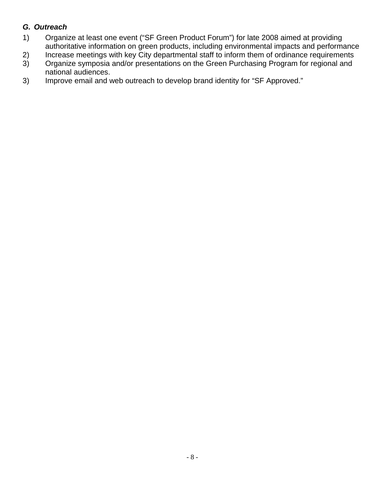## *G. Outreach*

- 1) Organize at least one event ("SF Green Product Forum") for late 2008 aimed at providing authoritative information on green products, including environmental impacts and performance
- 2) Increase meetings with key City departmental staff to inform them of ordinance requirements<br>3) Organize symposia and/or presentations on the Green Purchasing Program for regional and
- 3) Organize symposia and/or presentations on the Green Purchasing Program for regional and national audiences.
- 3) Improve email and web outreach to develop brand identity for "SF Approved."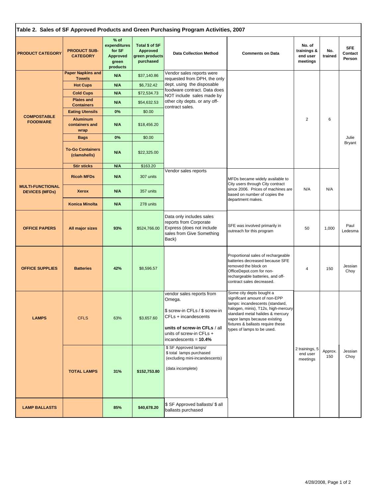| Table 2. Sales of SF Approved Products and Green Purchasing Program Activities, 2007 |                                           |                                                                          |                                                                  |                                                                                                                                                                                    |                                                                                                                                                                                                                                                                            |                                               |                |                                 |
|--------------------------------------------------------------------------------------|-------------------------------------------|--------------------------------------------------------------------------|------------------------------------------------------------------|------------------------------------------------------------------------------------------------------------------------------------------------------------------------------------|----------------------------------------------------------------------------------------------------------------------------------------------------------------------------------------------------------------------------------------------------------------------------|-----------------------------------------------|----------------|---------------------------------|
| <b>PRODUCT CATEGORY</b>                                                              | <b>PRODUCT SUB-</b><br><b>CATEGORY</b>    | $%$ of<br>expenditures<br>for SF<br><b>Approved</b><br>green<br>products | Total \$ of SF<br><b>Approved</b><br>green products<br>purchased | <b>Data Collection Method</b>                                                                                                                                                      | <b>Comments on Data</b>                                                                                                                                                                                                                                                    | No. of<br>trainings &<br>end user<br>meetings | No.<br>trained | <b>SFE</b><br>Contact<br>Person |
|                                                                                      | <b>Paper Napkins and</b><br><b>Towels</b> | N/A                                                                      | \$37,140.86                                                      | Vendor sales reports were<br>requested from DPH, the only                                                                                                                          |                                                                                                                                                                                                                                                                            |                                               |                |                                 |
|                                                                                      | <b>Hot Cups</b>                           | N/A                                                                      | \$6,732.42                                                       | dept. using the disposable                                                                                                                                                         |                                                                                                                                                                                                                                                                            |                                               |                |                                 |
|                                                                                      | <b>Cold Cups</b>                          | N/A                                                                      | \$72,534.73                                                      | foodware contract. Data does<br>NOT include sales made by<br>other city depts. or any off-<br>contract sales.                                                                      |                                                                                                                                                                                                                                                                            | $\overline{2}$                                |                |                                 |
|                                                                                      | <b>Plates and</b><br><b>Containers</b>    | N/A                                                                      | \$54,632.53                                                      |                                                                                                                                                                                    |                                                                                                                                                                                                                                                                            |                                               |                |                                 |
|                                                                                      | <b>Eating Utensils</b>                    | 0%                                                                       | \$0.00                                                           |                                                                                                                                                                                    |                                                                                                                                                                                                                                                                            |                                               |                |                                 |
| <b>COMPOSTABLE</b><br><b>FOODWARE</b>                                                | <b>Aluminum</b><br>containers and<br>wrap | N/A                                                                      | \$18,456.20                                                      |                                                                                                                                                                                    |                                                                                                                                                                                                                                                                            |                                               | 6              |                                 |
|                                                                                      | <b>Bags</b>                               | 0%                                                                       | \$0.00                                                           |                                                                                                                                                                                    |                                                                                                                                                                                                                                                                            |                                               |                | Julie                           |
|                                                                                      | <b>To-Go Containers</b><br>(clamshells)   | N/A                                                                      | \$22,325.00                                                      |                                                                                                                                                                                    |                                                                                                                                                                                                                                                                            |                                               |                | Bryant                          |
|                                                                                      | <b>Stir sticks</b>                        | N/A                                                                      | \$163.20                                                         |                                                                                                                                                                                    |                                                                                                                                                                                                                                                                            |                                               |                |                                 |
| <b>MULTI-FUNCTIONAL</b><br><b>DEVICES (MFDs)</b>                                     | <b>Ricoh MFDs</b>                         | N/A                                                                      | 307 units                                                        | Vendor sales reports<br>MFDs became widely available to<br>City users through City contract<br>since 2006. Prices of machines are<br>based on number of copies the                 |                                                                                                                                                                                                                                                                            |                                               |                |                                 |
|                                                                                      | <b>Xerox</b>                              | N/A                                                                      | 357 units                                                        |                                                                                                                                                                                    | department makes.                                                                                                                                                                                                                                                          | N/A                                           | N/A            |                                 |
|                                                                                      | <b>Konica Minolta</b>                     | N/A                                                                      | 278 units                                                        |                                                                                                                                                                                    |                                                                                                                                                                                                                                                                            |                                               |                |                                 |
| <b>OFFICE PAPERS</b>                                                                 | All major sizes                           | 93%                                                                      | \$524,766.00                                                     | Data only includes sales<br>reports from Corporate<br>Express (does not include<br>sales from Give Something<br>Back)                                                              | SFE was involved primarily in<br>outreach for this program                                                                                                                                                                                                                 | 50                                            | 1,000          | Paul<br>Ledesma                 |
| <b>OFFICE SUPPLIES</b>                                                               | <b>Batteries</b>                          | 42%                                                                      | \$8,596.57                                                       |                                                                                                                                                                                    | Proportional sales of rechargeable<br>batteries decreased because SFE<br>removed the block on<br>OfficeDepot.com for non-<br>rechargeable batteries, and off-<br>contract sales decreased.                                                                                 | $\overline{4}$                                | 150            | Jessian<br>Choy                 |
| <b>LAMPS</b>                                                                         | <b>CFLS</b>                               | 63%                                                                      | \$3,657.60                                                       | vendor sales reports from<br>Omega.<br>\$ screw-in CFLs / \$ screw-in<br>CFLs + incandescents<br>units of screw-in CFLs / all<br>units of screw-in CFLs +<br>incandescents = 10.4% | Some city depts bought a<br>significant amount of non-EPP<br>lamps: incandescents (standard,<br>halogen, minis), T12s, high-mercury<br>standard metal halides & mercury<br>vapor lamps because existing<br>fixtures & ballasts require these<br>types of lamps to be used. |                                               |                |                                 |
| <b>LAMP BALLASTS</b>                                                                 | <b>TOTAL LAMPS</b>                        | 31%<br>85%                                                               | \$152,753.80<br>\$40,678.20                                      | \$ SF Approved lamps/<br>\$ total lamps purchased<br>(excluding mini-incandescents)<br>(data incomplete)<br>\$ SF Approved ballasts/ \$ all<br>ballasts purchased                  |                                                                                                                                                                                                                                                                            | 2 trainings, 5<br>end user<br>meetings        | Approx.<br>150 | Jessian<br>Choy                 |